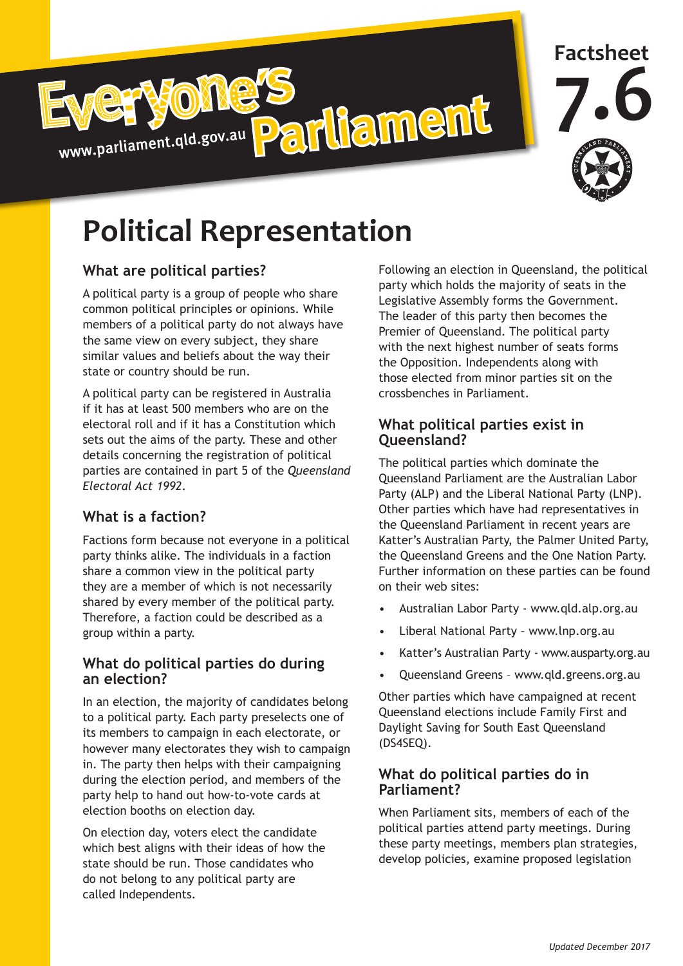



# **Political Representation**

## **What are political parties?**

A political party is a group of people who share common political principles or opinions. While members of a political party do not always have the same view on every subject, they share similar values and beliefs about the way their state or country should be run.

A political party can be registered in Australia if it has at least 500 members who are on the electoral roll and if it has a Constitution which sets out the aims of the party. These and other details concerning the registration of political parties are contained in part 5 of the *Queensland Electoral Act 1992*.

# **What is a faction?**

Factions form because not everyone in a political party thinks alike. The individuals in a faction share a common view in the political party they are a member of which is not necessarily shared by every member of the political party. Therefore, a faction could be described as a group within a party.

#### **What do political parties do during an election?**

In an election, the majority of candidates belong to a political party. Each party preselects one of its members to campaign in each electorate, or however many electorates they wish to campaign in. The party then helps with their campaigning during the election period, and members of the party help to hand out how-to-vote cards at election booths on election day.

On election day, voters elect the candidate which best aligns with their ideas of how the state should be run. Those candidates who do not belong to any political party are called Independents.

Following an election in Queensland, the political party which holds the majority of seats in the Legislative Assembly forms the Government. The leader of this party then becomes the Premier of Queensland. The political party with the next highest number of seats forms the Opposition. Independents along with those elected from minor parties sit on the crossbenches in Parliament.

#### **What political parties exist in Queensland?**

The political parties which dominate the Queensland Parliament are the Australian Labor Party (ALP) and the Liberal National Party (LNP). Other parties which have had representatives in the Queensland Parliament in recent years are Katter's Australian Party, the Palmer United Party, the Queensland Greens and the One Nation Party. Further information on these parties can be found on their web sites:

- Australian Labor Party www.qld.alp.org.au
- Liberal National Party www.lnp.org.au
- Katter's Australian Party www.ausparty.org.au
- Queensland Greens www.qld.greens.org.au

Other parties which have campaigned at recent Queensland elections include Family First and Daylight Saving for South East Queensland (DS4SEQ).

#### **What do political parties do in Parliament?**

When Parliament sits, members of each of the political parties attend party meetings. During these party meetings, members plan strategies, develop policies, examine proposed legislation